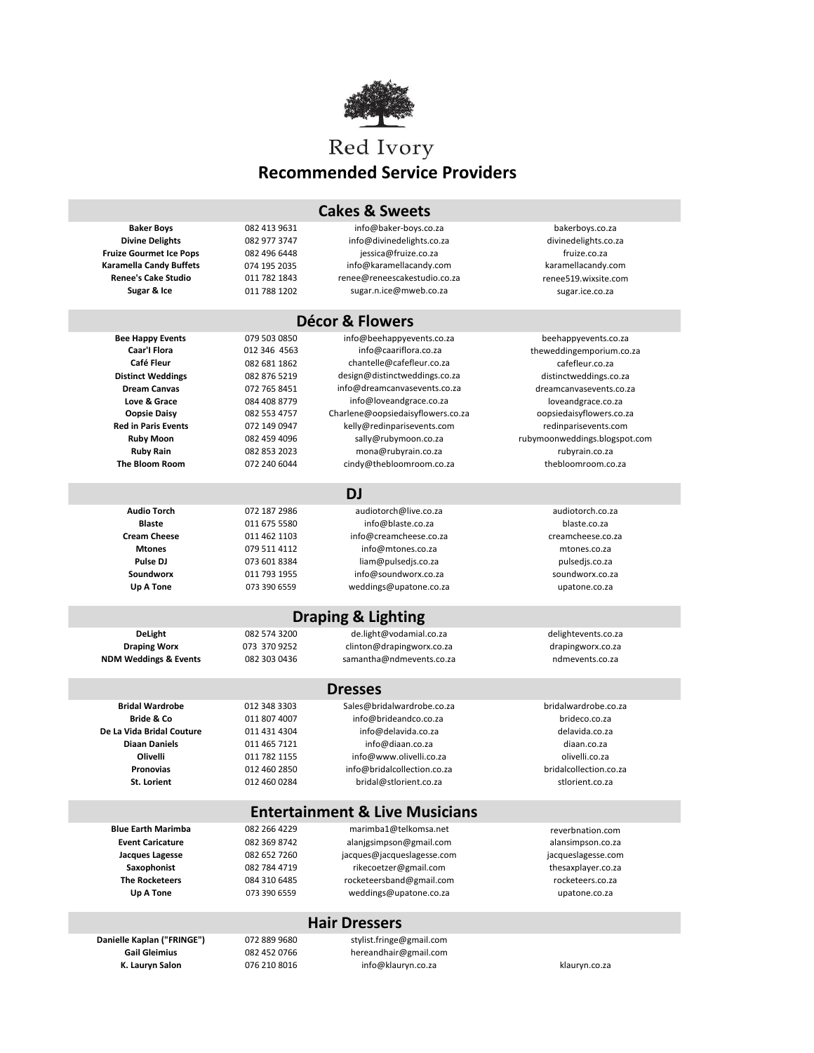

## **Recommended Service Providers**

| <b>Cakes &amp; Sweets</b>                 |              |                                   |                               |  |  |
|-------------------------------------------|--------------|-----------------------------------|-------------------------------|--|--|
| <b>Baker Boys</b>                         | 082 413 9631 | info@baker-boys.co.za             | bakerboys.co.za               |  |  |
| <b>Divine Delights</b>                    | 082 977 3747 | info@divinedelights.co.za         | divinedelights.co.za          |  |  |
| <b>Fruize Gourmet Ice Pops</b>            | 082 496 6448 | jessica@fruize.co.za              | fruize.co.za                  |  |  |
| Karamella Candy Buffets                   | 074 195 2035 | info@karamellacandy.com           | karamellacandy.com            |  |  |
| <b>Renee's Cake Studio</b>                | 011 782 1843 | renee@reneescakestudio.co.za      | renee519.wixsite.com          |  |  |
| Sugar & Ice                               | 011 788 1202 | sugar.n.ice@mweb.co.za            | sugar.ice.co.za               |  |  |
|                                           |              |                                   |                               |  |  |
| <b>Décor &amp; Flowers</b>                |              |                                   |                               |  |  |
| <b>Bee Happy Events</b>                   | 079 503 0850 | info@beehappyevents.co.za         | beehappyevents.co.za          |  |  |
| Caar'l Flora                              | 012 346 4563 | info@caariflora.co.za             | theweddingemporium.co.za      |  |  |
| Café Fleur                                | 082 681 1862 | chantelle@cafefleur.co.za         | cafefleur.co.za               |  |  |
| <b>Distinct Weddings</b>                  | 082 876 5219 | design@distinctweddings.co.za     | distinctweddings.co.za        |  |  |
| <b>Dream Canvas</b>                       | 072 765 8451 | info@dreamcanvasevents.co.za      | dreamcanvasevents.co.za       |  |  |
| Love & Grace                              | 084 408 8779 | info@loveandgrace.co.za           | loveandgrace.co.za            |  |  |
| <b>Oopsie Daisy</b>                       | 082 553 4757 | Charlene@oopsiedaisyflowers.co.za | oopsiedaisyflowers.co.za      |  |  |
| <b>Red in Paris Events</b>                | 072 149 0947 | kelly@redinparisevents.com        | redinparisevents.com          |  |  |
| <b>Ruby Moon</b>                          | 082 459 4096 | sally@rubymoon.co.za              | rubymoonweddings.blogspot.com |  |  |
| <b>Ruby Rain</b>                          | 082 853 2023 | mona@rubyrain.co.za               | rubyrain.co.za                |  |  |
| <b>The Bloom Room</b>                     | 072 240 6044 | cindy@thebloomroom.co.za          | thebloomroom.co.za            |  |  |
| <b>DJ</b>                                 |              |                                   |                               |  |  |
| <b>Audio Torch</b>                        | 072 187 2986 | audiotorch@live.co.za             | audiotorch.co.za              |  |  |
| <b>Blaste</b>                             | 011 675 5580 | info@blaste.co.za                 | blaste.co.za                  |  |  |
| <b>Cream Cheese</b>                       | 011 462 1103 | info@creamcheese.co.za            | creamcheese.co.za             |  |  |
| <b>Mtones</b>                             | 079 511 4112 | info@mtones.co.za                 | mtones.co.za                  |  |  |
| Pulse DJ                                  | 073 601 8384 | liam@pulsedjs.co.za               | pulsedjs.co.za                |  |  |
| <b>Soundworx</b>                          | 011 793 1955 | info@soundworx.co.za              | soundworx.co.za               |  |  |
| Up A Tone                                 | 073 390 6559 | weddings@upatone.co.za            | upatone.co.za                 |  |  |
|                                           |              |                                   |                               |  |  |
|                                           |              | <b>Draping &amp; Lighting</b>     |                               |  |  |
| DeLight                                   | 082 574 3200 | de.light@vodamial.co.za           | delightevents.co.za           |  |  |
| <b>Draping Worx</b>                       | 073 370 9252 | clinton@drapingworx.co.za         | drapingworx.co.za             |  |  |
| <b>NDM Weddings &amp; Events</b>          | 082 303 0436 | samantha@ndmevents.co.za          | ndmevents.co.za               |  |  |
| <b>Dresses</b>                            |              |                                   |                               |  |  |
| <b>Bridal Wardrobe</b>                    | 012 348 3303 | Sales@bridalwardrobe.co.za        | bridalwardrobe.co.za          |  |  |
| <b>Bride &amp; Co</b>                     | 011 807 4007 | info@brideandco.co.za             | brideco.co.za                 |  |  |
| De La Vida Bridal Couture                 | 011 431 4304 | info@delavida.co.za               | delavida.co.za                |  |  |
| <b>Diaan Daniels</b>                      | 011 465 7121 | info@diaan.co.za                  | diaan.co.za                   |  |  |
| Olivelli                                  | 011 782 1155 | info@www.olivelli.co.za           | olivelli.co.za                |  |  |
| Pronovias                                 | 012 460 2850 | info@bridalcollection.co.za       | bridalcollection.co.za        |  |  |
| St. Lorient                               | 012 460 0284 | bridal@stlorient.co.za            | stlorient.co.za               |  |  |
|                                           |              |                                   |                               |  |  |
| <b>Entertainment &amp; Live Musicians</b> |              |                                   |                               |  |  |
| <b>Blue Earth Marimba</b>                 | 082 266 4229 | marimba1@telkomsa.net             | reverbnation.com              |  |  |
| <b>Event Caricature</b>                   | 082 369 8742 | alanjgsimpson@gmail.com           | alansimpson.co.za             |  |  |
| <b>Jacques Lagesse</b>                    | 082 652 7260 | jacques@jacqueslagesse.com        | jacqueslagesse.com            |  |  |
| Saxophonist                               | 082 784 4719 | rikecoetzer@gmail.com             | thesaxplayer.co.za            |  |  |
| <b>The Rocketeers</b>                     | 084 310 6485 | rocketeersband@gmail.com          | rocketeers.co.za              |  |  |
| <b>Up A Tone</b>                          | 073 390 6559 | weddings@upatone.co.za            | upatone.co.za                 |  |  |
| <b>Hair Dressers</b>                      |              |                                   |                               |  |  |
| Danielle Kaplan ("FRINGE")                | 072 889 9680 | stylist.fringe@gmail.com          |                               |  |  |
| <b>Gail Gleimius</b>                      | 082 452 0766 | hereandhair@gmail.com             |                               |  |  |
| K. Lauryn Salon                           | 076 210 8016 | info@klauryn.co.za                | klauryn.co.za                 |  |  |
|                                           |              |                                   |                               |  |  |